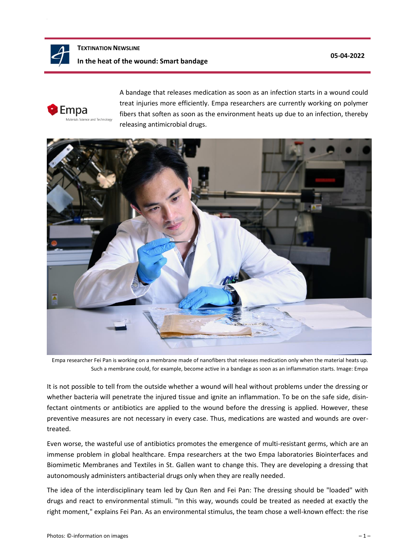

**TEXTINATION NEWSLINE In the heat of the wound: Smart bandage**



A bandage that releases medication as soon as an infection starts in a wound could treat injuries more efficiently. Empa researchers are currently working on polymer fibers that soften as soon as the environment heats up due to an infection, thereby releasing antimicrobial drugs.



Empa researcher Fei Pan is working on a membrane made of nanofibers that releases medication only when the material heats up. Such a membrane could, for example, become active in a bandage as soon as an inflammation starts. Image: Empa

It is not possible to tell from the outside whether a wound will heal without problems under the dressing or whether bacteria will penetrate the injured tissue and ignite an inflammation. To be on the safe side, disinfectant ointments or antibiotics are applied to the wound before the dressing is applied. However, these preventive measures are not necessary in every case. Thus, medications are wasted and wounds are overtreated.

Even worse, the wasteful use of antibiotics promotes the emergence of multi-resistant germs, which are an immense problem in global healthcare. Empa researchers at the two Empa laboratories Biointerfaces and Biomimetic Membranes and Textiles in St. Gallen want to change this. They are developing a dressing that autonomously administers antibacterial drugs only when they are really needed.

The idea of the interdisciplinary team led by Qun Ren and Fei Pan: The dressing should be "loaded" with drugs and react to environmental stimuli. "In this way, wounds could be treated as needed at exactly the right moment," explains Fei Pan. As an environmental stimulus, the team chose a well-known effect: the rise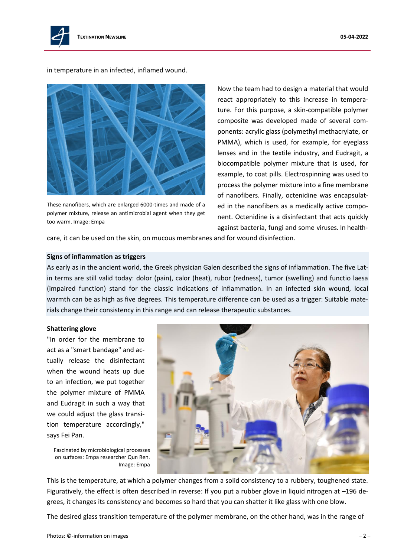



in temperature in an infected, inflamed wound.

These nanofibers, which are enlarged 6000-times and made of a polymer mixture, release an antimicrobial agent when they get too warm. Image: Empa

Now the team had to design a material that would react appropriately to this increase in temperature. For this purpose, a skin-compatible polymer composite was developed made of several components: acrylic glass (polymethyl methacrylate, or PMMA), which is used, for example, for eyeglass lenses and in the textile industry, and Eudragit, a biocompatible polymer mixture that is used, for example, to coat pills. Electrospinning was used to process the polymer mixture into a fine membrane of nanofibers. Finally, octenidine was encapsulated in the nanofibers as a medically active component. Octenidine is a disinfectant that acts quickly against bacteria, fungi and some viruses. In health-

care, it can be used on the skin, on mucous membranes and for wound disinfection.

## **Signs of inflammation as triggers**

As early as in the ancient world, the Greek physician Galen described the signs of inflammation. The five Latin terms are still valid today: dolor (pain), calor (heat), rubor (redness), tumor (swelling) and functio laesa (impaired function) stand for the classic indications of inflammation. In an infected skin wound, local warmth can be as high as five degrees. This temperature difference can be used as a trigger: Suitable materials change their consistency in this range and can release therapeutic substances.

# **Shattering glove**

"In order for the membrane to act as a "smart bandage" and actually release the disinfectant when the wound heats up due to an infection, we put together the polymer mixture of PMMA and Eudragit in such a way that we could adjust the glass transition temperature accordingly," says Fei Pan.

Fascinated by microbiological processes on surfaces: Empa researcher Qun Ren. Image: Empa



This is the temperature, at which a polymer changes from a solid consistency to a rubbery, toughened state. Figuratively, the effect is often described in reverse: If you put a rubber glove in liquid nitrogen at –196 degrees, it changes its consistency and becomes so hard that you can shatter it like glass with one blow.

The desired glass transition temperature of the polymer membrane, on the other hand, was in the range of